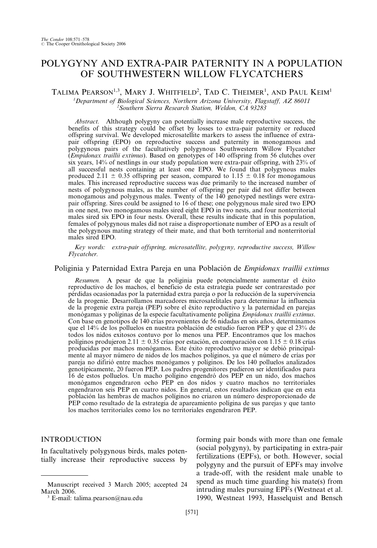# POLYGYNY AND EXTRA-PAIR PATERNITY IN A POPULATION OF SOUTHWESTERN WILLOW FLYCATCHERS

## TALIMA PEARSON<sup>1,3</sup>, MARY J. WHITFIELD<sup>2</sup>, TAD C. THEIMER<sup>1</sup>, AND PAUL KEIM<sup>1</sup>

<sup>1</sup>Department of Biological Sciences, Northern Arizona University, Flagstaff, AZ 86011<br><sup>2</sup>Southern Sierra Research Station, Weldon, C.4, 93283 Southern Sierra Research Station, Weldon, CA 93283

Abstract. Although polygyny can potentially increase male reproductive success, the benefits of this strategy could be offset by losses to extra-pair paternity or reduced offspring survival. We developed microsatellite markers to assess the influence of extrapair offspring (EPO) on reproductive success and paternity in monogamous and polygynous pairs of the facultatively polygynous Southwestern Willow Flycatcher (Empidonax traillii extimus). Based on genotypes of 140 offspring from 56 clutches over six years, 14% of nestlings in our study population were extra-pair offspring, with 23% of all successful nests containing at least one EPO. We found that polygynous males produced 2.11  $\pm$  0.35 offspring per season, compared to 1.15  $\pm$  0.18 for monogamous males. This increased reproductive success was due primarily to the increased number of nests of polygynous males, as the number of offspring per pair did not differ between monogamous and polygynous males. Twenty of the 140 genotyped nestlings were extrapair offspring. Sires could be assigned to 16 of these; one polygynous male sired two EPO in one nest, two monogamous males sired eight EPO in two nests, and four nonterritorial males sired six EPO in four nests. Overall, these results indicate that in this population, females of polygynous males did not raise a disproportionate number of EPO as a result of the polygynous mating strategy of their mate, and that both territorial and nonterritorial males sired EPO.

Key words: extra-pair offspring, microsatellite, polygyny, reproductive success, Willow Flycatcher.

#### Poliginia y Paternidad Extra Pareja en una Población de Empidonax traillii extimus

Resumen. A pesar de que la poliginia puede potencialmente aumentar el éxito reproductivo de los machos, el beneficio de esta estrategia puede ser contrarestado por pérdidas ocasionadas por la paternidad extra pareja o por la reducción de la supervivencia de la progenie. Desarrollamos marcadores microsatelitales para determinar la influencia de la progenie extra pareja (PEP) sobre el éxito reproductivo y la paternidad en parejas monógamas y políginas de la especie facultativamente polígina Empidonax traillii extimus. Con base en genotipos de 140 crías provenientes de 56 nidadas en seis años, determinamos que el 14% de los polluelos en nuestra población de estudio fueron PEP y que el 23% de todos los nidos exitosos contuvo por lo menos una PEP. Encontramos que los machos políginos produjeron 2.11  $\pm$  0.35 crías por estación, en comparación con 1.15  $\pm$  0.18 crías producidas por machos monógamos. Este éxito reproductivo mayor se debió principalmente al mayor número de nidos de los machos políginos, ya que el número de crías por pareja no difirió entre machos monógamos y políginos. De los 140 polluelos analizados genotípicamente, 20 fueron PEP. Los padres progenitores pudieron ser identificados para 16 de estos polluelos. Un macho polígino engendró dos PEP en un nido, dos machos monógamos engendraron ocho PEP en dos nidos y cuatro machos no territoriales engendraron seis PEP en cuatro nidos. En general, estos resultados indican que en esta población las hembras de machos políginos no criaron un número desproporcionado de PEP como resultado de la estrategia de apareamiento polígina de sus parejas y que tanto los machos territoriales como los no territoriales engendraron PEP.

#### INTRODUCTION

In facultatively polygynous birds, males potentially increase their reproductive success by

forming pair bonds with more than one female (social polygyny), by participating in extra-pair fertilizations (EPFs), or both. However, social polygyny and the pursuit of EPFs may involve a trade-off, with the resident male unable to spend as much time guarding his mate(s) from intruding males pursuing EPFs (Westneat et al. 1990, Westneat 1993, Hasselquist and Bensch

Manuscript received 3 March 2005; accepted 24

 $3$  E-mail: talima.pearson@nau.edu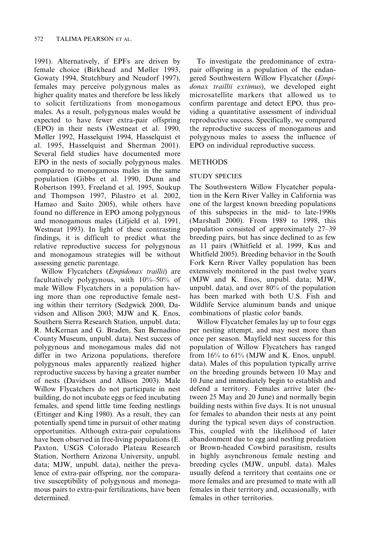1991). Alternatively, if EPFs are driven by female choice (Birkhead and Møller 1993, Gowaty 1994, Stutchbury and Neudorf 1997), females may perceive polygynous males as higher quality mates and therefore be less likely to solicit fertilizations from monogamous males. As a result, polygynous males would be expected to have fewer extra-pair offspring (EPO) in their nests (Westneat et al. 1990, Møller 1992, Hasselquist 1994, Hasselquist et al. 1995, Hasselquist and Sherman 2001). Several field studies have documented more EPO in the nests of socially polygynous males compared to monogamous males in the same population (Gibbs et al. 1990, Dunn and Robertson 1993, Freeland et al. 1995, Soukup and Thompson 1997, Pilastro et al. 2002, Hamao and Saito 2005), while others have found no difference in EPO among polygynous and monogamous males (Lifjield et al. 1991, Westneat 1993). In light of these contrasting findings, it is difficult to predict what the relative reproductive success for polygynous and monogamous strategies will be without assessing genetic parentage.

Willow Flycatchers (*Empidonax traillii*) are facultatively polygynous, with 10%–50% of male Willow Flycatchers in a population having more than one reproductive female nesting within their territory (Sedgwick 2000, Davidson and Allison 2003; MJW and K. Enos, Southern Sierra Research Station, unpubl. data; R. McKernan and G. Braden, San Bernadino County Museum, unpubl. data). Nest success of polygynous and monogamous males did not differ in two Arizona populations, therefore polygynous males apparently realized higher reproductive success by having a greater number of nests (Davidson and Allison 2003). Male Willow Flycatchers do not participate in nest building, do not incubate eggs or feed incubating females, and spend little time feeding nestlings (Ettinger and King 1980). As a result, they can potentially spend time in pursuit of other mating opportunities. Although extra-pair copulations have been observed in free-living populations (E. Paxton, USGS Colorado Plateau Research Station, Northern Arizona University, unpubl. data; MJW, unpubl. data), neither the prevalence of extra-pair offspring, nor the comparative susceptibility of polygynous and monogamous pairs to extra-pair fertilizations, have been determined.

To investigate the predominance of extrapair offspring in a population of the endangered Southwestern Willow Flycatcher (Empidonax traillii extimus), we developed eight microsatellite markers that allowed us to confirm parentage and detect EPO, thus providing a quantitative assessment of individual reproductive success. Specifically, we compared the reproductive success of monogamous and polygynous males to assess the influence of EPO on individual reproductive success.

## METHODS

## STUDY SPECIES

The Southwestern Willow Flycatcher population in the Kern River Valley in California was one of the largest known breeding populations of this subspecies in the mid- to late-1990s (Marshall 2000). From 1989 to 1998, this population consisted of approximately 27–39 breeding pairs, but has since declined to as few as 11 pairs (Whitfield et al. 1999, Kus and Whitfield 2005). Breeding behavior in the South Fork Kern River Valley population has been extensively monitored in the past twelve years (MJW and K. Enos, unpubl. data; MJW, unpubl. data), and over 80% of the population has been marked with both U.S. Fish and Wildlife Service aluminum bands and unique combinations of plastic color bands.

Willow Flycatcher females lay up to four eggs per nesting attempt, and may nest more than once per season. Mayfield nest success for this population of Willow Flycatchers has ranged from 16% to 61% (MJW and K. Enos, unpubl. data). Males of this population typically arrive on the breeding grounds between 10 May and 10 June and immediately begin to establish and defend a territory. Females arrive later (between 25 May and 20 June) and normally begin building nests within five days. It is not unusual for females to abandon their nests at any point during the typical seven days of construction. This, coupled with the likelihood of later abandonment due to egg and nestling predation or Brown-headed Cowbird parasitism, results in highly asynchronous female nesting and breeding cycles (MJW, unpubl. data). Males usually defend a territory that contains one or more females and are presumed to mate with all females in their territory and, occasionally, with females in other territories.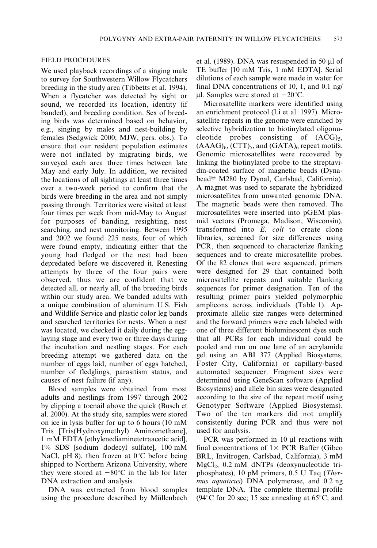#### FIELD PROCEDURES

We used playback recordings of a singing male to survey for Southwestern Willow Flycatchers breeding in the study area (Tibbetts et al. 1994). When a flycatcher was detected by sight or sound, we recorded its location, identity (if banded), and breeding condition. Sex of breeding birds was determined based on behavior, e.g., singing by males and nest-building by females (Sedgwick 2000; MJW, pers. obs.). To ensure that our resident population estimates were not inflated by migrating birds, we surveyed each area three times between late May and early July. In addition, we revisited the locations of all sightings at least three times over a two-week period to confirm that the birds were breeding in the area and not simply passing through. Territories were visited at least four times per week from mid-May to August for purposes of banding, resighting, nest searching, and nest monitoring. Between 1995 and 2002 we found 225 nests, four of which were found empty, indicating either that the young had fledged or the nest had been depredated before we discovered it. Renesting attempts by three of the four pairs were observed, thus we are confident that we detected all, or nearly all, of the breeding birds within our study area. We banded adults with a unique combination of aluminum U.S. Fish and Wildlife Service and plastic color leg bands and searched territories for nests. When a nest was located, we checked it daily during the egglaying stage and every two or three days during the incubation and nestling stages. For each breeding attempt we gathered data on the number of eggs laid, number of eggs hatched, number of fledglings, parasitism status, and causes of nest failure (if any).

Blood samples were obtained from most adults and nestlings from 1997 through 2002 by clipping a toenail above the quick (Busch et al. 2000). At the study site, samples were stored on ice in lysis buffer for up to 6 hours (10 mM Tris [Tris(Hydroxymethyl) Aminomethane], 1 mM EDTA [ethylenediaminetetraacetic acid], 1% SDS [sodium dodecyl sulfate], 100 mM NaCl, pH 8), then frozen at  $0^{\circ}$ C before being shipped to Northern Arizona University, where they were stored at  $-80^{\circ}$ C in the lab for later DNA extraction and analysis.

DNA was extracted from blood samples using the procedure described by Müllenbach

et al. (1989). DNA was resuspended in 50  $\mu$ l of TE buffer [10 mM Tris, 1 mM EDTA]. Serial dilutions of each sample were made in water for final DNA concentrations of 10, 1, and 0.1 ng/ ul. Samples were stored at  $-20^{\circ}$ C.

Microsatellite markers were identified using an enrichment protocol (Li et al. 1997). Microsatellite repeats in the genome were enriched by selective hybridization to biotinylated oligonucleotide probes consisting of  $(ACG)_{5}$ ,  $(AAAG)_{6}$ ,  $(CTT)_{5}$ , and  $(GATA)_{6}$  repeat motifs. Genomic microsatellites were recovered by linking the biotinylated probe to the streptavidin-coated surface of magnetic beads (Dynabead<sup>®</sup> M280 by Dynal, Carlsbad, California). A magnet was used to separate the hybridized microsatellites from unwanted genomic DNA. The magnetic beads were then removed. The microsatellites were inserted into pGEM plasmid vectors (Promega, Madison, Wisconsin), transformed into E. coli to create clone libraries, screened for size differences using PCR, then sequenced to characterize flanking sequences and to create microsatellite probes. Of the 82 clones that were sequenced, primers were designed for 29 that contained both microsatellite repeats and suitable flanking sequences for primer designation. Ten of the resulting primer pairs yielded polymorphic amplicons across individuals (Table 1). Approximate allelic size ranges were determined and the forward primers were each labeled with one of three different bioluminescent dyes such that all PCRs for each individual could be pooled and run on one lane of an acrylamide gel using an ABI 377 (Applied Biosystems, Foster City, California) or capillary-based automated sequencer. Fragment sizes were determined using GeneScan software (Applied Biosystems) and allele bin sizes were designated according to the size of the repeat motif using Genotyper Software (Applied Biosystems). Two of the ten markers did not amplify consistently during PCR and thus were not used for analysis.

PCR was performed in  $10 \mu l$  reactions with final concentrations of  $1 \times PCR$  Buffer (Gibco) BRL, Invitrogen, Carlsbad, California), 3 mM MgCl2, 0.2 mM dNTPs (deoxynucleotide triphosphates), 10 pM primers, 0.5 U Taq (Thermus aquaticus) DNA polymerase, and 0.2 ng template DNA. The complete thermal profile (94 $\degree$ C for 20 sec; 15 sec annealing at 65 $\degree$ C; and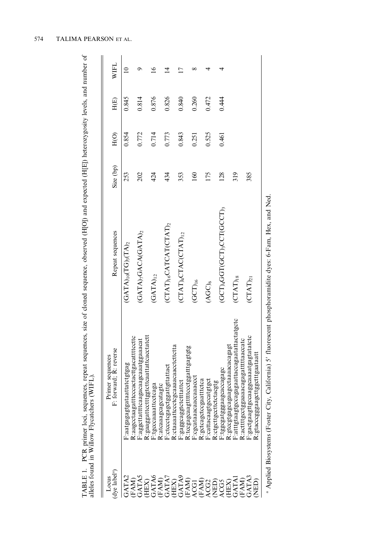TABLE 1. PCR primer loci, sequences, repeat sequences, size of cloned sequence, observed (H[O]) and expected (H[E]) heterozygosity levels, and number of<br>alleles found in Willow Flycatchers (WIFL). TABLE 1. PCR primer loci, sequences, repeat sequences, size of cloned sequence, observed (H[O]) and expected (H[E]) heterozygosity levels, and number of alleles found in Willow Flycatchers (WIFL).

| WIFL                                               |                               |                                                                                      |                                                                        |                                                             |                                                                                  |                                                                    |                                                  |                                                        |                                                                                      |                                                                                                                     |
|----------------------------------------------------|-------------------------------|--------------------------------------------------------------------------------------|------------------------------------------------------------------------|-------------------------------------------------------------|----------------------------------------------------------------------------------|--------------------------------------------------------------------|--------------------------------------------------|--------------------------------------------------------|--------------------------------------------------------------------------------------|---------------------------------------------------------------------------------------------------------------------|
| H(E)                                               | 0.845                         | 0.814                                                                                | 0.876                                                                  | 0.826                                                       | 0.840                                                                            | 0.260                                                              | 0.472                                            | 0.444                                                  |                                                                                      |                                                                                                                     |
| H(O)                                               | 0.854                         | 0.772                                                                                | 0.714                                                                  | 0.773                                                       | 0.843                                                                            | 0.251                                                              | 0.525                                            | 0.461                                                  |                                                                                      |                                                                                                                     |
| Size (bp)                                          | 253                           | 202                                                                                  | 424                                                                    | 434                                                         | 353                                                                              | 160                                                                | 175                                              | 128                                                    | 319                                                                                  | 385                                                                                                                 |
| Repeat sequences                                   | $(GATA)_{10}(TG)_{3}(TA)_{2}$ | $(GATA)$ <sub>7</sub> GACA(GATA) <sub>2</sub>                                        | $(GATA)_{12}$                                                          | $(CTAT)_{16}CATCAT (CTAT)_{2}$                              | $\overline{\text{CTAT}}$ at) $_4 \text{CTAC}$ $\overline{\text{CTAT}}$ ) $_{12}$ | $(GCT)_{16}$                                                       | $(AGC)_6$                                        | $(GCT)_4 GGT(GCT)_3 CCT(GCCT)_3$                       | $(CTAT)_{18}$                                                                        | $\left( {\rm CTAT}\right)_{21}$                                                                                     |
| orward; R: reverse<br>Primer sequences<br>۲<br>بنا | F:aatgagagtgataattatctgtgag   | cccactacttgacattttccttc<br>gacaagcaaatggaaacat<br>R:aagcctaagattt<br>aggcttattttcaa: | ggtcttcaattattcacctatctt<br>tcaga<br>itgcccaaaattcc<br>R:gaaggattccttt | gattgttattact<br>tagtc<br>R:atcaaagcagca<br>F:ctccctcgagctg | gcaaaacaacctcttctta<br>ttattct<br>R:ctaaaattccctc<br>eaggcaggtctct:              | ttccctggatttgagtgtg<br>caaaccct<br>cgcataaacaac<br>R:tocgagcaagttt | R:gctcagctccgaatttctca<br>F:cattacaagtgccatgtgct | gcaccagagc<br>R:ctgcttgccttctctacgtg<br>F:tggcgatgggaa | F:atttgtaagtgccagagaattaccagaatattactatgctc<br>aagootaaaacacagagt<br>R:gtccgtgagcaga | Figactgaagttgccaaggcaaatgagtatatctc<br>aaacagagatttttaaccatc<br>K:gtacccgggaagcttggctttgaataatt<br>R:acttttgcctgga: |
| dve label <sup>a</sup><br>Locus                    | GATA2                         |                                                                                      | (FAM)<br>GATAS<br>GHEX)<br>GATAG<br>GATA7<br>GATA7                     |                                                             |                                                                                  |                                                                    |                                                  | (HEX)<br>GATAS<br>CEAM<br>ACGA (CEA)<br>CEATA<br>CATA  |                                                                                      | (FAM)<br>GATA3<br>NED)                                                                                              |

<sup>a</sup> Applied Biosystems (Foster City, California) 5' fluorescent phosphoramidite dyes: 6-Fam, Hex, and Ned. <sup>a</sup> Applied Biosystems (Foster City, California) 5' fluorescent phosphoramidite dyes: 6-Fam, Hex, and Ned.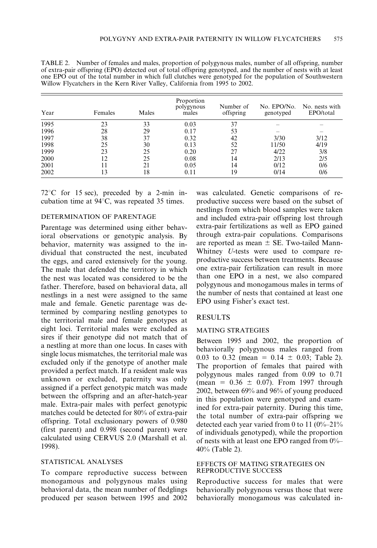| Year | Females | Males | Proportion<br>polygynous<br>males | Number of<br>offspring | No. EPO/No.<br>genotyped | No. nests with<br>EPO/total |
|------|---------|-------|-----------------------------------|------------------------|--------------------------|-----------------------------|
| 1995 | 23      | 33    | 0.03                              | 37                     |                          |                             |
| 1996 | 28      | 29    | 0.17                              | 53                     |                          |                             |
| 1997 | 38      | 37    | 0.32                              | 42                     | 3/30                     | 3/12                        |
| 1998 | 25      | 30    | 0.13                              | 52                     | 11/50                    | 4/19                        |
| 1999 | 23      | 25    | 0.20                              | 27                     | 4/22                     | 3/8                         |
| 2000 | 12      | 25    | 0.08                              | 14                     | 2/13                     | 2/5                         |
| 2001 |         | 21    | 0.05                              | 14                     | 0/12                     | 0/6                         |
| 2002 | 13      | 18    | 0.11                              | 19                     | 0/14                     | 0/6                         |

TABLE 2. Number of females and males, proportion of polygynous males, number of all offspring, number of extra-pair offspring (EPO) detected out of total offspring genotyped, and the number of nests with at least one EPO out of the total number in which full clutches were genotyped for the population of Southwestern Willow Flycatchers in the Kern River Valley, California from 1995 to 2002.

 $72^{\circ}$ C for 15 sec), preceded by a 2-min incubation time at  $94^{\circ}$ C, was repeated 35 times.

#### DETERMINATION OF PARENTAGE

Parentage was determined using either behavioral observations or genotypic analysis. By behavior, maternity was assigned to the individual that constructed the nest, incubated the eggs, and cared extensively for the young. The male that defended the territory in which the nest was located was considered to be the father. Therefore, based on behavioral data, all nestlings in a nest were assigned to the same male and female. Genetic parentage was determined by comparing nestling genotypes to the territorial male and female genotypes at eight loci. Territorial males were excluded as sires if their genotype did not match that of a nestling at more than one locus. In cases with single locus mismatches, the territorial male was excluded only if the genotype of another male provided a perfect match. If a resident male was unknown or excluded, paternity was only assigned if a perfect genotypic match was made between the offspring and an after-hatch-year male. Extra-pair males with perfect genotypic matches could be detected for 80% of extra-pair offspring. Total exclusionary powers of 0.980 (first parent) and 0.998 (second parent) were calculated using CERVUS 2.0 (Marshall et al. 1998).

#### STATISTICAL ANALYSES

To compare reproductive success between monogamous and polygynous males using behavioral data, the mean number of fledglings produced per season between 1995 and 2002

was calculated. Genetic comparisons of reproductive success were based on the subset of nestlings from which blood samples were taken and included extra-pair offspring lost through extra-pair fertilizations as well as EPO gained through extra-pair copulations. Comparisons are reported as mean  $\pm$  SE. Two-tailed Mann-Whitney U-tests were used to compare reproductive success between treatments. Because one extra-pair fertilization can result in more than one EPO in a nest, we also compared polygynous and monogamous males in terms of the number of nests that contained at least one EPO using Fisher's exact test.

#### RESULTS

#### MATING STRATEGIES

Between 1995 and 2002, the proportion of behaviorally polygynous males ranged from 0.03 to 0.32 (mean =  $0.14 \pm 0.03$ ; Table 2). The proportion of females that paired with polygynous males ranged from 0.09 to 0.71 (mean =  $0.36 \pm 0.07$ ). From 1997 through 2002, between 69% and 96% of young produced in this population were genotyped and examined for extra-pair paternity. During this time, the total number of extra-pair offspring we detected each year varied from 0 to 11  $(0\%-21\%)$ of individuals genotyped), while the proportion of nests with at least one EPO ranged from 0%– 40% (Table 2).

#### EFFECTS OF MATING STRATEGIES ON REPRODUCTIVE SUCCESS

Reproductive success for males that were behaviorally polygynous versus those that were behaviorally monogamous was calculated in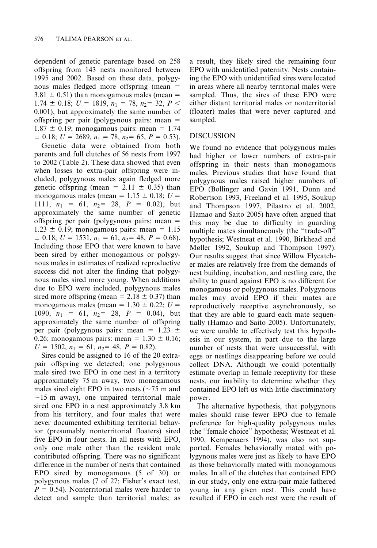dependent of genetic parentage based on 258 offspring from 143 nests monitored between 1995 and 2002. Based on these data, polygynous males fledged more offspring (mean  $=$  $3.81 \pm 0.51$ ) than monogamous males (mean = 1.74  $\pm$  0.18;  $U = 1819$ ,  $n_1 = 78$ ,  $n_2 = 32$ ,  $P \le$ 0.001), but approximately the same number of offspring per pair (polygynous pairs: mean  $=$  $1.87 \pm 0.19$ ; monogamous pairs: mean = 1.74  $\pm$  0.18;  $U = 2689$ ,  $n_1 = 78$ ,  $n_2 = 65$ ,  $P = 0.53$ ).

Genetic data were obtained from both parents and full clutches of 56 nests from 1997 to 2002 (Table 2). These data showed that even when losses to extra-pair offspring were included, polygynous males again fledged more genetic offspring (mean =  $2.11 \pm 0.35$ ) than monogamous males (mean =  $1.15 \pm 0.18$ ;  $U =$ 1111,  $n_1 = 61$ ,  $n_2 = 28$ ,  $P = 0.02$ ), but approximately the same number of genetic offspring per pair (polygynous pairs: mean  $=$  $1.23 \pm 0.19$ ; monogamous pairs: mean = 1.15  $\pm$  0.18;  $U = 1531$ ,  $n_1 = 61$ ,  $n_2 = 48$ ,  $P = 0.68$ ). Including those EPO that were known to have been sired by either monogamous or polygynous males in estimates of realized reproductive success did not alter the finding that polygynous males sired more young. When additions due to EPO were included, polygynous males sired more offspring (mean =  $2.18 \pm 0.37$ ) than monogamous males (mean =  $1.30 \pm 0.22$ ; U = 1090,  $n_1 = 61$ ,  $n_2 = 28$ ,  $P = 0.04$ ), but approximately the same number of offspring per pair (polygynous pairs: mean =  $1.23 \pm$ 0.26; monogamous pairs: mean =  $1.30 \pm 0.16$ ;  $U = 1502$ ,  $n_1 = 61$ ,  $n_2 = 48$ ,  $P = 0.82$ ).

Sires could be assigned to 16 of the 20 extrapair offspring we detected; one polygynous male sired two EPO in one nest in a territory approximately 75 m away, two monogamous males sired eight EPO in two nests ( $\sim$ 75 m and  $\sim$ 15 m away), one unpaired territorial male sired one EPO in a nest approximately 3.8 km from his territory, and four males that were never documented exhibiting territorial behavior (presumably nonterritorial floaters) sired five EPO in four nests. In all nests with EPO, only one male other than the resident male contributed offspring. There was no significant difference in the number of nests that contained EPO sired by monogamous (5 of 30) or polygynous males (7 of 27; Fisher's exact test,  $P = 0.54$ ). Nonterritorial males were harder to detect and sample than territorial males; as a result, they likely sired the remaining four EPO with unidentified paternity. Nests containing the EPO with unidentified sires were located in areas where all nearby territorial males were sampled. Thus, the sires of these EPO were either distant territorial males or nonterritorial (floater) males that were never captured and sampled.

## DISCUSSION

We found no evidence that polygynous males had higher or lower numbers of extra-pair offspring in their nests than monogamous males. Previous studies that have found that polygynous males raised higher numbers of EPO (Bollinger and Gavin 1991, Dunn and Robertson 1993, Freeland et al. 1995, Soukup and Thompson 1997, Pilastro et al. 2002, Hamao and Saito 2005) have often argued that this may be due to difficulty in guarding multiple mates simultaneously (the ''trade-off'' hypothesis; Westneat et al. 1990, Birkhead and Møller 1992, Soukup and Thompson 1997). Our results suggest that since Willow Flycatcher males are relatively free from the demands of nest building, incubation, and nestling care, the ability to guard against EPO is no different for monogamous or polygynous males. Polygynous males may avoid EPO if their mates are reproductively receptive asynchronously, so that they are able to guard each mate sequentially (Hamao and Saito 2005). Unfortunately, we were unable to effectively test this hypothesis in our system, in part due to the large number of nests that were unsuccessful, with eggs or nestlings disappearing before we could collect DNA. Although we could potentially estimate overlap in female receptivity for these nests, our inability to determine whether they contained EPO left us with little discriminatory power.

The alternative hypothesis, that polygynous males should raise fewer EPO due to female preference for high-quality polygynous males (the ''female choice'' hypothesis; Westneat et al. 1990, Kempenaers 1994), was also not supported. Females behaviorally mated with polygynous males were just as likely to have EPO as those behaviorally mated with monogamous males. In all of the clutches that contained EPO in our study, only one extra-pair male fathered young in any given nest. This could have resulted if EPO in each nest were the result of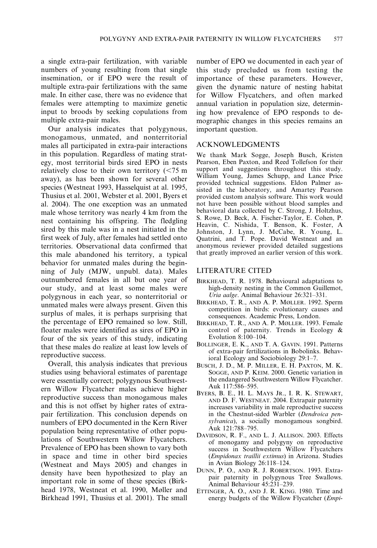a single extra-pair fertilization, with variable numbers of young resulting from that single insemination, or if EPO were the result of multiple extra-pair fertilizations with the same male. In either case, there was no evidence that females were attempting to maximize genetic input to broods by seeking copulations from multiple extra-pair males.

Our analysis indicates that polygynous, monogamous, unmated, and nonterritorial males all participated in extra-pair interactions in this population. Regardless of mating strategy, most territorial birds sired EPO in nests relatively close to their own territory  $\approx$  75 m away), as has been shown for several other species (Westneat 1993, Hasselquist at al. 1995, Thusius et al. 2001, Webster et al. 2001, Byers et al. 2004). The one exception was an unmated male whose territory was nearly 4 km from the nest containing his offspring. The fledgling sired by this male was in a nest initiated in the first week of July, after females had settled onto territories. Observational data confirmed that this male abandoned his territory, a typical behavior for unmated males during the beginning of July (MJW, unpubl. data). Males outnumbered females in all but one year of our study, and at least some males were polygynous in each year, so nonterritorial or unmated males were always present. Given this surplus of males, it is perhaps surprising that the percentage of EPO remained so low. Still, floater males were identified as sires of EPO in four of the six years of this study, indicating that these males do realize at least low levels of reproductive success.

Overall, this analysis indicates that previous studies using behavioral estimates of parentage were essentially correct; polygynous Southwestern Willow Flycatcher males achieve higher reproductive success than monogamous males and this is not offset by higher rates of extrapair fertilization. This conclusion depends on numbers of EPO documented in the Kern River population being representative of other populations of Southwestern Willow Flycatchers. Prevalence of EPO has been shown to vary both in space and time in other bird species (Westneat and Mays 2005) and changes in density have been hypothesized to play an important role in some of these species (Birkhead 1978, Westneat et al. 1990, Møller and Birkhead 1991, Thusius et al. 2001). The small

number of EPO we documented in each year of this study precluded us from testing the importance of these parameters. However, given the dynamic nature of nesting habitat for Willow Flycatchers, and often marked annual variation in population size, determining how prevalence of EPO responds to demographic changes in this species remains an important question.

#### ACKNOWLEDGMENTS

We thank Mark Sogge, Joseph Busch, Kristen Pearson, Eben Paxton, and Reed Tollefson for their support and suggestions throughout this study. William Young, James Schupp, and Lance Price provided technical suggestions. Eldon Palmer assisted in the laboratory, and Amartey Pearson provided custom analysis software. This work would not have been possible without blood samples and behavioral data collected by C. Strong, J. Holtzhus, S. Rowe, D. Beck, A. Fischer-Taylor, E. Cohen, P. Heavin, C. Nishida, T. Benson, K. Foster, A Johnston, J. Lynn, J. McCabe, R. Young, L. Quatrini, and T. Pope. David Westneat and an anonymous reviewer provided detailed suggestions that greatly improved an earlier version of this work.

## LITERATURE CITED

- BIRKHEAD, T. R. 1978. Behavioural adaptations to high-density nesting in the Common Guillemot, Uria aalge. Animal Behaviour 26:321–331.
- BIRKHEAD, T. R., AND A. P. MØLLER. 1992. Sperm competition in birds: evolutionary causes and consequences. Academic Press, London.
- BIRKHEAD, T. R., AND A. P. MØLLER. 1993. Female control of paternity. Trends in Ecology & Evolution 8:100–104.
- BOLLINGER, E. K., AND T. A. GAVIN. 1991. Patterns of extra-pair fertilizations in Bobolinks. Behavioral Ecology and Sociobiology 29:1–7.
- BUSCH, J. D., M. P. MILLER, E. H. PAXTON, M. K. SOGGE, AND P. KEIM. 2000. Genetic variation in the endangered Southwestern Willow Flycatcher. Auk 117:586–595.
- BYERS, B. E., H. L. MAYS JR., I. R. K. STEWART, AND D. F. WESTNEAT. 2004. Extrapair paternity increases variability in male reproductive success in the Chestnut-sided Warbler (Dendroica pensylvanica), a socially monogamous songbird. Auk 121:788–795.
- DAVIDSON, R. F., AND L. J. ALLISON. 2003. Effects of monogamy and polygyny on reproductive success in Southwestern Willow Flycatchers (Empidonax traillii extimus) in Arizona. Studies in Avian Biology 26:118–124.
- DUNN, P. O., AND R. J. ROBERTSON. 1993. Extrapair paternity in polygynous Tree Swallows. Animal Behaviour 45:231–239.
- ETTINGER, A. O., AND J. R. KING. 1980. Time and energy budgets of the Willow Flycatcher (Empi-